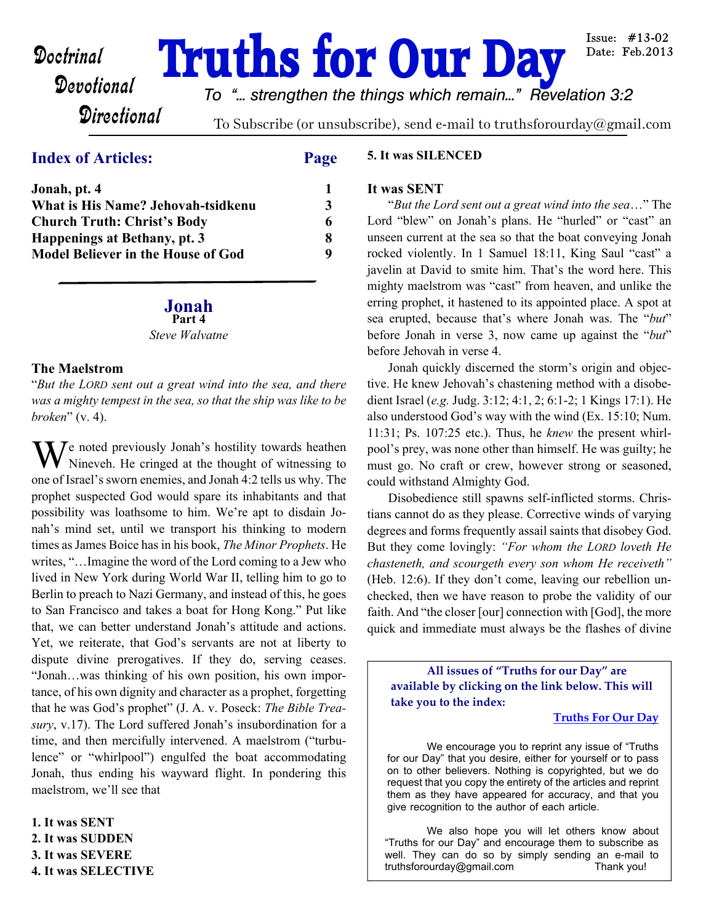# **Doctrinal Truths for Our Day**

Issue:  $#13-02$ Date: Feb.2013

## **Directional**

*To "... strengthen the things which remain..." Revelation 3:2*

To Subscribe (or unsubscribe), send e-mail to truthsforourday@gmail.com

## **Index of Articles: Page**

| Jonah, pt. 4                              |   |
|-------------------------------------------|---|
| What is His Name? Jehovah-tsidkenu        | 3 |
| <b>Church Truth: Christ's Body</b>        | 6 |
| Happenings at Bethany, pt. 3              | 8 |
| <b>Model Believer in the House of God</b> | Q |

## **Jonah**

**Part 4** *Steve Walvatne*

### **The Maelstrom**

"*But the LORD sent out a great wind into the sea, and there was a mighty tempest in the sea, so that the ship was like to be broken*" (v. 4).

 $\mathbf{W}$  e noted previously Jonah's hostility towards heathen<br>Nineveh He cringed at the thought of witnessing to Nineveh. He cringed at the thought of witnessing to one of Israel's sworn enemies, and Jonah 4:2 tells us why. The prophet suspected God would spare its inhabitants and that possibility was loathsome to him. We're apt to disdain Jonah's mind set, until we transport his thinking to modern times as James Boice has in his book, *The Minor Prophets*. He writes, "…Imagine the word of the Lord coming to a Jew who lived in New York during World War II, telling him to go to Berlin to preach to Nazi Germany, and instead of this, he goes to San Francisco and takes a boat for Hong Kong." Put like that, we can better understand Jonah's attitude and actions. Yet, we reiterate, that God's servants are not at liberty to dispute divine prerogatives. If they do, serving ceases. "Jonah…was thinking of his own position, his own importance, of his own dignity and character as a prophet, forgetting that he was God's prophet" (J. A. v. Poseck: *The Bible Treasury*, v.17). The Lord suffered Jonah's insubordination for a time, and then mercifully intervened. A maelstrom ("turbulence" or "whirlpool") engulfed the boat accommodating Jonah, thus ending his wayward flight. In pondering this maelstrom, we'll see that

**1. It was SENT 2. It was SUDDEN 3. It was SEVERE 4. It was SELECTIVE**

#### **5. It was SILENCED**

#### **It was SENT**

 "*But the Lord sent out a great wind into the sea*…" The Lord "blew" on Jonah's plans. He "hurled" or "cast" an unseen current at the sea so that the boat conveying Jonah rocked violently. In 1 Samuel 18:11, King Saul "cast" a javelin at David to smite him. That's the word here. This mighty maelstrom was "cast" from heaven, and unlike the erring prophet, it hastened to its appointed place. A spot at sea erupted, because that's where Jonah was. The "*but*" before Jonah in verse 3, now came up against the "*but*" before Jehovah in verse 4.

 Jonah quickly discerned the storm's origin and objective. He knew Jehovah's chastening method with a disobedient Israel (*e.g.* Judg. 3:12; 4:1, 2; 6:1-2; 1 Kings 17:1). He also understood God's way with the wind (Ex. 15:10; Num. 11:31; Ps. 107:25 etc.). Thus, he *knew* the present whirlpool's prey, was none other than himself. He was guilty; he must go. No craft or crew, however strong or seasoned, could withstand Almighty God.

Disobedience still spawns self-inflicted storms. Christians cannot do as they please. Corrective winds of varying degrees and forms frequently assail saints that disobey God. But they come lovingly: *"For whom the LORD loveth He chasteneth, and scourgeth every son whom He receiveth"* (Heb. 12:6). If they don't come, leaving our rebellion unchecked, then we have reason to probe the validity of our faith. And "the closer [our] connection with [God], the more quick and immediate must always be the flashes of divine

**All issues of "Truths for our Day" are available by clicking on the link below. This will take you to the index:**

#### **[Truths For Our Day](http://truthsforourday.com)**

 We encourage you to reprint any issue of "Truths for our Day" that you desire, either for yourself or to pass on to other believers. Nothing is copyrighted, but we do request that you copy the entirety of the articles and reprint them as they have appeared for accuracy, and that you give recognition to the author of each article.

 We also hope you will let others know about "Truths for our Day" and encourage them to subscribe as well. They can do so by simply sending an e-mail to truthsforourday@gmail.com Thank you!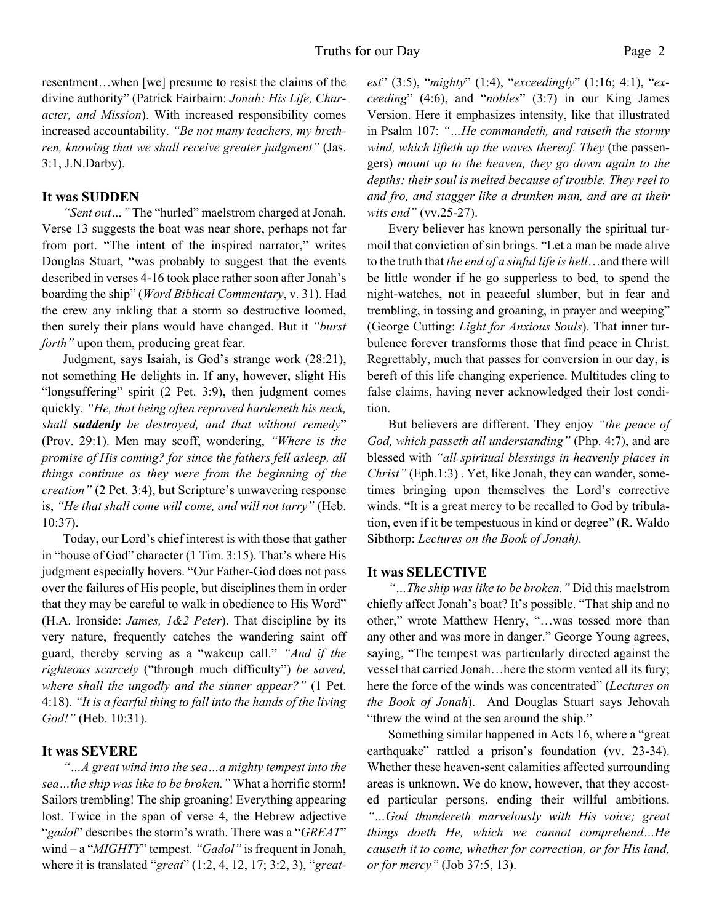resentment…when [we] presume to resist the claims of the divine authority" (Patrick Fairbairn: *Jonah: His Life, Character, and Mission*). With increased responsibility comes increased accountability. *"Be not many teachers, my brethren, knowing that we shall receive greater judgment"* (Jas. 3:1, J.N.Darby).

#### **It was SUDDEN**

*"Sent out…"* The "hurled" maelstrom charged at Jonah. Verse 13 suggests the boat was near shore, perhaps not far from port. "The intent of the inspired narrator," writes Douglas Stuart, "was probably to suggest that the events described in verses 4-16 took place rather soon after Jonah's boarding the ship" (*Word Biblical Commentary*, v. 31). Had the crew any inkling that a storm so destructive loomed, then surely their plans would have changed. But it *"burst forth*" upon them, producing great fear.

 Judgment, says Isaiah, is God's strange work (28:21), not something He delights in. If any, however, slight His "longsuffering" spirit (2 Pet. 3:9), then judgment comes quickly. *"He, that being often reproved hardeneth his neck, shall suddenly be destroyed, and that without remedy*" (Prov. 29:1). Men may scoff, wondering, *"Where is the promise of His coming? for since the fathers fell asleep, all things continue as they were from the beginning of the creation"* (2 Pet. 3:4), but Scripture's unwavering response is, *"He that shall come will come, and will not tarry"* (Heb. 10:37).

Today, our Lord's chief interest is with those that gather in "house of God" character (1 Tim. 3:15). That's where His judgment especially hovers. "Our Father-God does not pass over the failures of His people, but disciplines them in order that they may be careful to walk in obedience to His Word" (H.A. Ironside: *James, 1&2 Peter*). That discipline by its very nature, frequently catches the wandering saint off guard, thereby serving as a "wakeup call." *"And if the righteous scarcely* ("through much difficulty") *be saved, where shall the ungodly and the sinner appear?"* (1 Pet. 4:18). *"It is a fearful thing to fall into the hands of the living God!"* (Heb. 10:31).

#### **It was SEVERE**

*"…A great wind into the sea…a mighty tempest into the sea…the ship was like to be broken."* What a horrific storm! Sailors trembling! The ship groaning! Everything appearing lost. Twice in the span of verse 4, the Hebrew adjective "*gadol*" describes the storm's wrath. There was a "*GREAT*" wind – a "*MIGHTY*" tempest. *"Gadol"* is frequent in Jonah, where it is translated "*great*" (1:2, 4, 12, 17; 3:2, 3), "*great-* *est*" (3:5), "*mighty*" (1:4), "*exceedingly*" (1:16; 4:1), "*exceeding*" (4:6), and "*nobles*" (3:7) in our King James Version. Here it emphasizes intensity, like that illustrated in Psalm 107: *"…He commandeth, and raiseth the stormy wind, which lifteth up the waves thereof. They* (the passengers) *mount up to the heaven, they go down again to the depths: their soul is melted because of trouble. They reel to and fro, and stagger like a drunken man, and are at their wits end"* (vv.25-27).

 Every believer has known personally the spiritual turmoil that conviction of sin brings. "Let a man be made alive to the truth that *the end of a sinful life is hell*…and there will be little wonder if he go supperless to bed, to spend the night-watches, not in peaceful slumber, but in fear and trembling, in tossing and groaning, in prayer and weeping" (George Cutting: *Light for Anxious Souls*). That inner turbulence forever transforms those that find peace in Christ. Regrettably, much that passes for conversion in our day, is bereft of this life changing experience. Multitudes cling to false claims, having never acknowledged their lost condition.

But believers are different. They enjoy *"the peace of God, which passeth all understanding"* (Php. 4:7), and are blessed with *"all spiritual blessings in heavenly places in Christ"* (Eph.1:3) . Yet, like Jonah, they can wander, sometimes bringing upon themselves the Lord's corrective winds. "It is a great mercy to be recalled to God by tribulation, even if it be tempestuous in kind or degree" (R. Waldo Sibthorp: *Lectures on the Book of Jonah).*

#### **It was SELECTIVE**

*"…The ship was like to be broken."* Did this maelstrom chiefly affect Jonah's boat? It's possible. "That ship and no other," wrote Matthew Henry, "…was tossed more than any other and was more in danger." George Young agrees, saying, "The tempest was particularly directed against the vessel that carried Jonah…here the storm vented all its fury; here the force of the winds was concentrated" (*Lectures on the Book of Jonah*). And Douglas Stuart says Jehovah "threw the wind at the sea around the ship."

 Something similar happened in Acts 16, where a "great earthquake" rattled a prison's foundation (vv. 23-34). Whether these heaven-sent calamities affected surrounding areas is unknown. We do know, however, that they accosted particular persons, ending their willful ambitions. *"…God thundereth marvelously with His voice; great things doeth He, which we cannot comprehend…He causeth it to come, whether for correction, or for His land, or for mercy"* (Job 37:5, 13).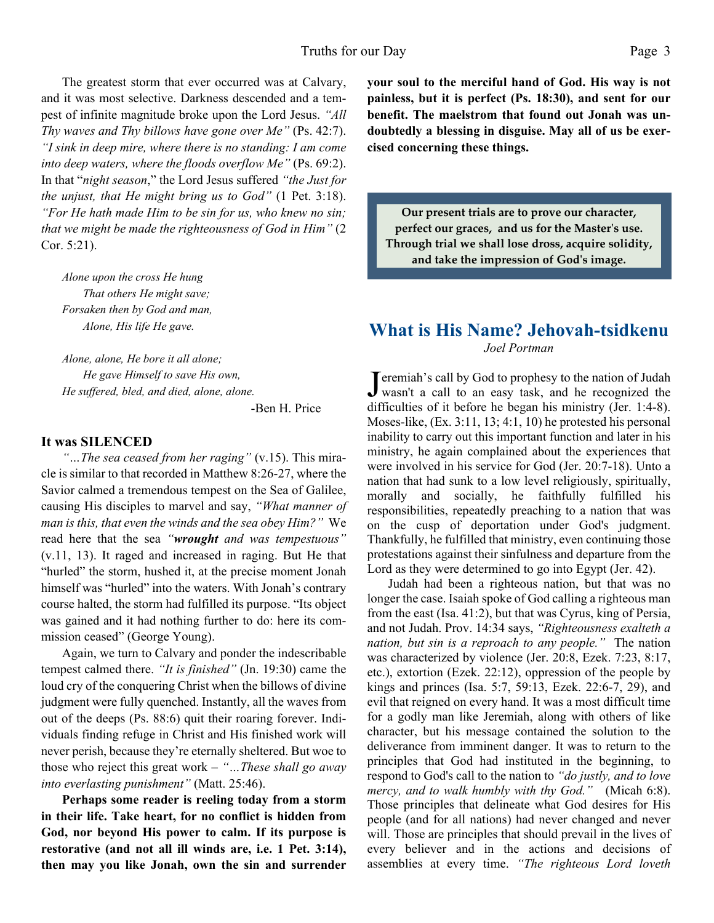The greatest storm that ever occurred was at Calvary, and it was most selective. Darkness descended and a tempest of infinite magnitude broke upon the Lord Jesus. *"All Thy waves and Thy billows have gone over Me"* (Ps. 42:7). *"I sink in deep mire, where there is no standing: I am come into deep waters, where the floods overflow Me"* (Ps. 69:2). In that "*night season*," the Lord Jesus suffered *"the Just for the unjust, that He might bring us to God"* (1 Pet. 3:18). *"For He hath made Him to be sin for us, who knew no sin; that we might be made the righteousness of God in Him"* (2 Cor. 5:21).

*Alone upon the cross He hung That others He might save; Forsaken then by God and man, Alone, His life He gave.*

 *Alone, alone, He bore it all alone; He gave Himself to save His own, He suffered, bled, and died, alone, alone.*

-Ben H. Price

#### **It was SILENCED**

*"…The sea ceased from her raging"* (v.15). This miracle is similar to that recorded in Matthew 8:26-27, where the Savior calmed a tremendous tempest on the Sea of Galilee, causing His disciples to marvel and say, *"What manner of man is this, that even the winds and the sea obey Him?"* We read here that the sea *"wrought and was tempestuous"* (v.11, 13). It raged and increased in raging. But He that "hurled" the storm, hushed it, at the precise moment Jonah himself was "hurled" into the waters. With Jonah's contrary course halted, the storm had fulfilled its purpose. "Its object was gained and it had nothing further to do: here its commission ceased" (George Young).

 Again, we turn to Calvary and ponder the indescribable tempest calmed there. *"It is finished"* (Jn. 19:30) came the loud cry of the conquering Christ when the billows of divine judgment were fully quenched. Instantly, all the waves from out of the deeps (Ps. 88:6) quit their roaring forever. Individuals finding refuge in Christ and His finished work will never perish, because they're eternally sheltered. But woe to those who reject this great work – *"…These shall go away into everlasting punishment"* (Matt. 25:46).

 **Perhaps some reader is reeling today from a storm in their life. Take heart, for no conflict is hidden from God, nor beyond His power to calm. If its purpose is restorative (and not all ill winds are, i.e. 1 Pet. 3:14), then may you like Jonah, own the sin and surrender** **your soul to the merciful hand of God. His way is not painless, but it is perfect (Ps. 18:30), and sent for our benefit. The maelstrom that found out Jonah was undoubtedly a blessing in disguise. May all of us be exercised concerning these things.**

**Our present trials are to prove our character, perfect our graces, and us for the Master's use. Through trial we shall lose dross, acquire solidity, and take the impression of God's image.**

## **What is His Name? Jehovah-tsidkenu** *Joel Portman*

**J** eremiah's call by God to prophesy to the nation of Judah wasn't a call to an easy task, and he recognized the Teremiah's call by God to prophesy to the nation of Judah difficulties of it before he began his ministry (Jer. 1:4-8). Moses-like, (Ex. 3:11, 13; 4:1, 10) he protested his personal inability to carry out this important function and later in his ministry, he again complained about the experiences that were involved in his service for God (Jer. 20:7-18). Unto a nation that had sunk to a low level religiously, spiritually, morally and socially, he faithfully fulfilled his responsibilities, repeatedly preaching to a nation that was on the cusp of deportation under God's judgment. Thankfully, he fulfilled that ministry, even continuing those protestations against their sinfulness and departure from the Lord as they were determined to go into Egypt (Jer. 42).

Judah had been a righteous nation, but that was no longer the case. Isaiah spoke of God calling a righteous man from the east (Isa. 41:2), but that was Cyrus, king of Persia, and not Judah. Prov. 14:34 says, *"Righteousness exalteth a nation, but sin is a reproach to any people."* The nation was characterized by violence (Jer. 20:8, Ezek. 7:23, 8:17, etc.), extortion (Ezek. 22:12), oppression of the people by kings and princes (Isa. 5:7, 59:13, Ezek. 22:6-7, 29), and evil that reigned on every hand. It was a most difficult time for a godly man like Jeremiah, along with others of like character, but his message contained the solution to the deliverance from imminent danger. It was to return to the principles that God had instituted in the beginning, to respond to God's call to the nation to *"do justly, and to love mercy, and to walk humbly with thy God."* (Micah 6:8). Those principles that delineate what God desires for His people (and for all nations) had never changed and never will. Those are principles that should prevail in the lives of every believer and in the actions and decisions of assemblies at every time. *"The righteous Lord loveth*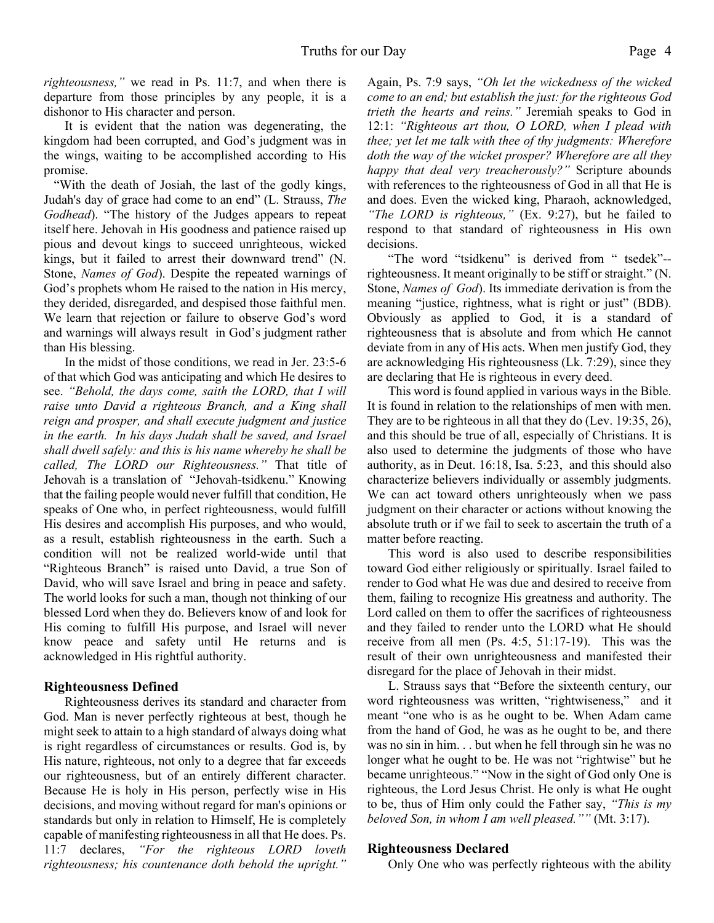*righteousness,"* we read in Ps. 11:7, and when there is departure from those principles by any people, it is a dishonor to His character and person.

 It is evident that the nation was degenerating, the kingdom had been corrupted, and God's judgment was in the wings, waiting to be accomplished according to His promise.

 "With the death of Josiah, the last of the godly kings, Judah's day of grace had come to an end" (L. Strauss, *The Godhead*). "The history of the Judges appears to repeat itself here. Jehovah in His goodness and patience raised up pious and devout kings to succeed unrighteous, wicked kings, but it failed to arrest their downward trend" (N. Stone, *Names of God*). Despite the repeated warnings of God's prophets whom He raised to the nation in His mercy, they derided, disregarded, and despised those faithful men. We learn that rejection or failure to observe God's word and warnings will always result in God's judgment rather than His blessing.

 In the midst of those conditions, we read in Jer. 23:5-6 of that which God was anticipating and which He desires to see. *"Behold, the days come, saith the LORD, that I will raise unto David a righteous Branch, and a King shall reign and prosper, and shall execute judgment and justice in the earth. In his days Judah shall be saved, and Israel shall dwell safely: and this is his name whereby he shall be called, The LORD our Righteousness."* That title of Jehovah is a translation of "Jehovah-tsidkenu." Knowing that the failing people would never fulfill that condition, He speaks of One who, in perfect righteousness, would fulfill His desires and accomplish His purposes, and who would, as a result, establish righteousness in the earth. Such a condition will not be realized world-wide until that "Righteous Branch" is raised unto David, a true Son of David, who will save Israel and bring in peace and safety. The world looks for such a man, though not thinking of our blessed Lord when they do. Believers know of and look for His coming to fulfill His purpose, and Israel will never know peace and safety until He returns and is acknowledged in His rightful authority.

#### **Righteousness Defined**

 Righteousness derives its standard and character from God. Man is never perfectly righteous at best, though he might seek to attain to a high standard of always doing what is right regardless of circumstances or results. God is, by His nature, righteous, not only to a degree that far exceeds our righteousness, but of an entirely different character. Because He is holy in His person, perfectly wise in His decisions, and moving without regard for man's opinions or standards but only in relation to Himself, He is completely capable of manifesting righteousness in all that He does. Ps. 11:7 declares, *"For the righteous LORD loveth righteousness; his countenance doth behold the upright."* Again, Ps. 7:9 says, *"Oh let the wickedness of the wicked come to an end; but establish the just: for the righteous God trieth the hearts and reins."* Jeremiah speaks to God in 12:1: *"Righteous art thou, O LORD, when I plead with thee; yet let me talk with thee of thy judgments: Wherefore doth the way of the wicket prosper? Wherefore are all they happy that deal very treacherously?"* Scripture abounds with references to the righteousness of God in all that He is and does. Even the wicked king, Pharaoh, acknowledged, *"The LORD is righteous,"* (Ex. 9:27), but he failed to respond to that standard of righteousness in His own decisions.

 "The word "tsidkenu" is derived from " tsedek"- righteousness. It meant originally to be stiff or straight." (N. Stone, *Names of God*). Its immediate derivation is from the meaning "justice, rightness, what is right or just" (BDB). Obviously as applied to God, it is a standard of righteousness that is absolute and from which He cannot deviate from in any of His acts. When men justify God, they are acknowledging His righteousness (Lk. 7:29), since they are declaring that He is righteous in every deed.

 This word is found applied in various ways in the Bible. It is found in relation to the relationships of men with men. They are to be righteous in all that they do (Lev. 19:35, 26), and this should be true of all, especially of Christians. It is also used to determine the judgments of those who have authority, as in Deut. 16:18, Isa. 5:23, and this should also characterize believers individually or assembly judgments. We can act toward others unrighteously when we pass judgment on their character or actions without knowing the absolute truth or if we fail to seek to ascertain the truth of a matter before reacting.

 This word is also used to describe responsibilities toward God either religiously or spiritually. Israel failed to render to God what He was due and desired to receive from them, failing to recognize His greatness and authority. The Lord called on them to offer the sacrifices of righteousness and they failed to render unto the LORD what He should receive from all men (Ps. 4:5, 51:17-19). This was the result of their own unrighteousness and manifested their disregard for the place of Jehovah in their midst.

 L. Strauss says that "Before the sixteenth century, our word righteousness was written, "rightwiseness," and it meant "one who is as he ought to be. When Adam came from the hand of God, he was as he ought to be, and there was no sin in him. . . but when he fell through sin he was no longer what he ought to be. He was not "rightwise" but he became unrighteous." "Now in the sight of God only One is righteous, the Lord Jesus Christ. He only is what He ought to be, thus of Him only could the Father say, *"This is my beloved Son, in whom I am well pleased.""* (Mt. 3:17).

#### **Righteousness Declared**

Only One who was perfectly righteous with the ability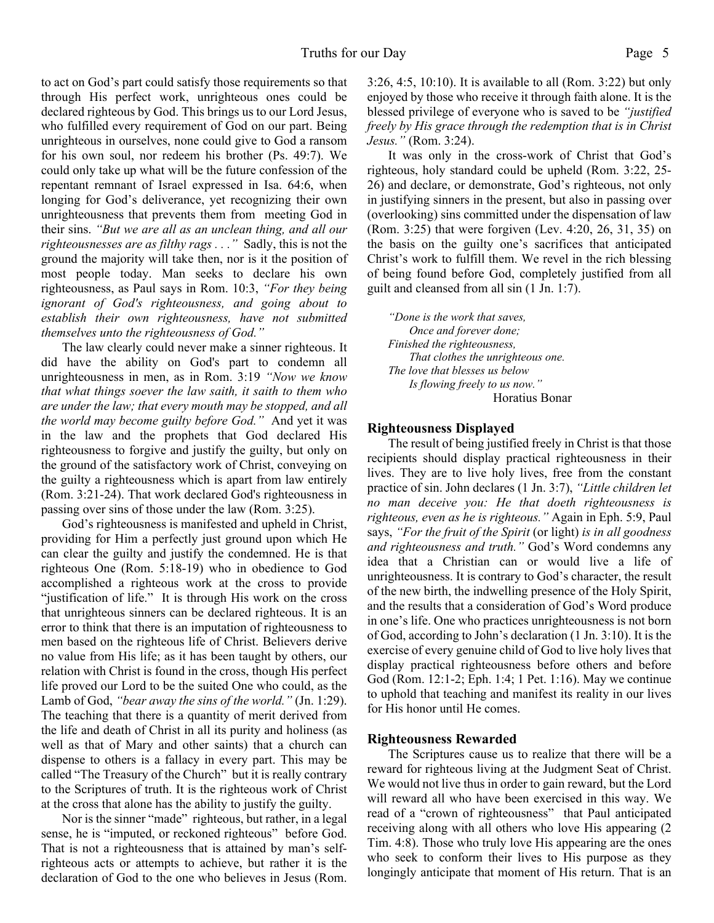to act on God's part could satisfy those requirements so that through His perfect work, unrighteous ones could be declared righteous by God. This brings us to our Lord Jesus, who fulfilled every requirement of God on our part. Being unrighteous in ourselves, none could give to God a ransom for his own soul, nor redeem his brother (Ps. 49:7). We could only take up what will be the future confession of the repentant remnant of Israel expressed in Isa. 64:6, when longing for God's deliverance, yet recognizing their own unrighteousness that prevents them from meeting God in their sins. *"But we are all as an unclean thing, and all our righteousnesses are as filthy rags . . ."* Sadly, this is not the ground the majority will take then, nor is it the position of most people today. Man seeks to declare his own righteousness, as Paul says in Rom. 10:3, *"For they being ignorant of God's righteousness, and going about to establish their own righteousness, have not submitted themselves unto the righteousness of God."*

 The law clearly could never make a sinner righteous. It did have the ability on God's part to condemn all unrighteousness in men, as in Rom. 3:19 *"Now we know that what things soever the law saith, it saith to them who are under the law; that every mouth may be stopped, and all the world may become guilty before God."* And yet it was in the law and the prophets that God declared His righteousness to forgive and justify the guilty, but only on the ground of the satisfactory work of Christ, conveying on the guilty a righteousness which is apart from law entirely (Rom. 3:21-24). That work declared God's righteousness in passing over sins of those under the law (Rom. 3:25).

 God's righteousness is manifested and upheld in Christ, providing for Him a perfectly just ground upon which He can clear the guilty and justify the condemned. He is that righteous One (Rom. 5:18-19) who in obedience to God accomplished a righteous work at the cross to provide "justification of life." It is through His work on the cross that unrighteous sinners can be declared righteous. It is an error to think that there is an imputation of righteousness to men based on the righteous life of Christ. Believers derive no value from His life; as it has been taught by others, our relation with Christ is found in the cross, though His perfect life proved our Lord to be the suited One who could, as the Lamb of God, *"bear away the sins of the world."* (Jn. 1:29). The teaching that there is a quantity of merit derived from the life and death of Christ in all its purity and holiness (as well as that of Mary and other saints) that a church can dispense to others is a fallacy in every part. This may be called "The Treasury of the Church" but it is really contrary to the Scriptures of truth. It is the righteous work of Christ at the cross that alone has the ability to justify the guilty.

 Nor is the sinner "made" righteous, but rather, in a legal sense, he is "imputed, or reckoned righteous" before God. That is not a righteousness that is attained by man's selfrighteous acts or attempts to achieve, but rather it is the declaration of God to the one who believes in Jesus (Rom.

3:26, 4:5, 10:10). It is available to all (Rom. 3:22) but only enjoyed by those who receive it through faith alone. It is the blessed privilege of everyone who is saved to be *"justified freely by His grace through the redemption that is in Christ Jesus."* (Rom. 3:24).

 It was only in the cross-work of Christ that God's righteous, holy standard could be upheld (Rom. 3:22, 25- 26) and declare, or demonstrate, God's righteous, not only in justifying sinners in the present, but also in passing over (overlooking) sins committed under the dispensation of law (Rom. 3:25) that were forgiven (Lev. 4:20, 26, 31, 35) on the basis on the guilty one's sacrifices that anticipated Christ's work to fulfill them. We revel in the rich blessing of being found before God, completely justified from all guilt and cleansed from all sin (1 Jn. 1:7).

*"Done is the work that saves, Once and forever done; Finished the righteousness, That clothes the unrighteous one. The love that blesses us below Is flowing freely to us now."* Horatius Bonar

#### **Righteousness Displayed**

 The result of being justified freely in Christ is that those recipients should display practical righteousness in their lives. They are to live holy lives, free from the constant practice of sin. John declares (1 Jn. 3:7), *"Little children let no man deceive you: He that doeth righteousness is righteous, even as he is righteous."* Again in Eph. 5:9, Paul says, *"For the fruit of the Spirit* (or light) *is in all goodness and righteousness and truth."* God's Word condemns any idea that a Christian can or would live a life of unrighteousness. It is contrary to God's character, the result of the new birth, the indwelling presence of the Holy Spirit, and the results that a consideration of God's Word produce in one's life. One who practices unrighteousness is not born of God, according to John's declaration (1 Jn. 3:10). It is the exercise of every genuine child of God to live holy lives that display practical righteousness before others and before God (Rom. 12:1-2; Eph. 1:4; 1 Pet. 1:16). May we continue to uphold that teaching and manifest its reality in our lives for His honor until He comes.

#### **Righteousness Rewarded**

 The Scriptures cause us to realize that there will be a reward for righteous living at the Judgment Seat of Christ. We would not live thus in order to gain reward, but the Lord will reward all who have been exercised in this way. We read of a "crown of righteousness" that Paul anticipated receiving along with all others who love His appearing (2 Tim. 4:8). Those who truly love His appearing are the ones who seek to conform their lives to His purpose as they longingly anticipate that moment of His return. That is an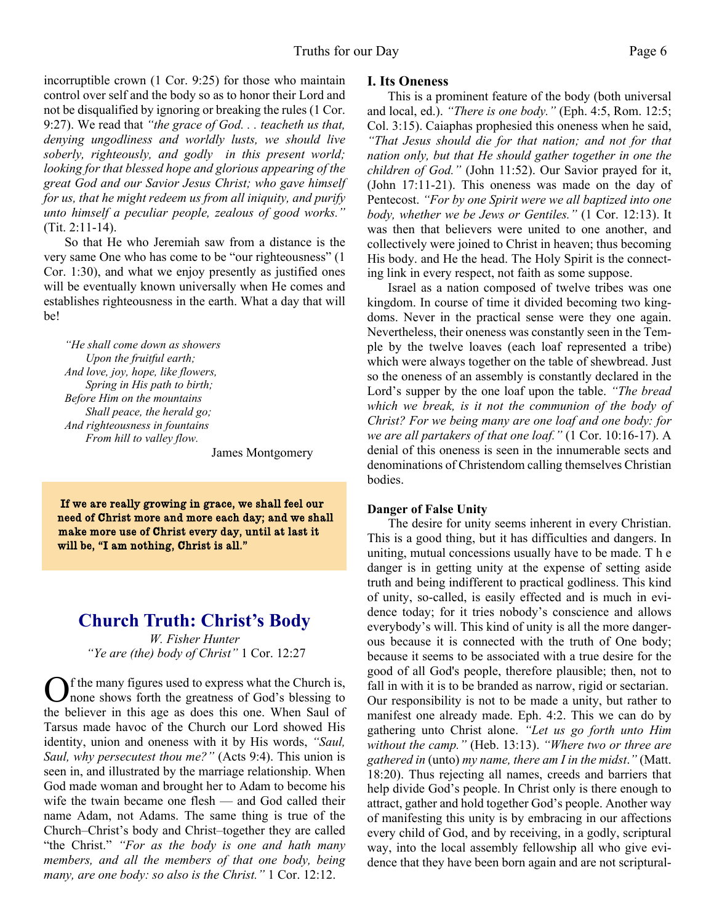incorruptible crown (1 Cor. 9:25) for those who maintain control over self and the body so as to honor their Lord and not be disqualified by ignoring or breaking the rules (1 Cor. 9:27). We read that *"the grace of God. . . teacheth us that, denying ungodliness and worldly lusts, we should live soberly, righteously, and godly in this present world; looking for that blessed hope and glorious appearing of the great God and our Savior Jesus Christ; who gave himself for us, that he might redeem us from all iniquity, and purify unto himself a peculiar people, zealous of good works."* (Tit. 2:11-14).

 So that He who Jeremiah saw from a distance is the very same One who has come to be "our righteousness" (1 Cor. 1:30), and what we enjoy presently as justified ones will be eventually known universally when He comes and establishes righteousness in the earth. What a day that will be!

*"He shall come down as showers Upon the fruitful earth; And love, joy, hope, like flowers, Spring in His path to birth; Before Him on the mountains Shall peace, the herald go; And righteousness in fountains From hill to valley flow.*

James Montgomery

If we are really growing in grace, we shall feel our need of Christ more and more each day; and we shall make more use of Christ every day, until at last it will be, "I am nothing, Christ is all."

## **Church Truth: Christ's Body**

*W. Fisher Hunter "Ye are (the) body of Christ"* 1 Cor. 12:27

**O**f the many figures used to express what the Church is, none shows forth the greatness of God's blessing to the believer in this age as does this one. When Saul of f the many figures used to express what the Church is, none shows forth the greatness of God's blessing to Tarsus made havoc of the Church our Lord showed His identity, union and oneness with it by His words, *"Saul, Saul, why persecutest thou me?"* (Acts 9:4). This union is seen in, and illustrated by the marriage relationship. When God made woman and brought her to Adam to become his wife the twain became one flesh — and God called their name Adam, not Adams. The same thing is true of the Church–Christ's body and Christ–together they are called "the Christ." *"For as the body is one and hath many members, and all the members of that one body, being many, are one body: so also is the Christ."* 1 Cor. 12:12.

#### **I. Its Oneness**

This is a prominent feature of the body (both universal and local, ed.). *"There is one body."* (Eph. 4:5, Rom. 12:5; Col. 3:15). Caiaphas prophesied this oneness when he said, *"That Jesus should die for that nation; and not for that nation only, but that He should gather together in one the children of God."* (John 11:52). Our Savior prayed for it, (John 17:11-21). This oneness was made on the day of Pentecost. *"For by one Spirit were we all baptized into one body, whether we be Jews or Gentiles."* (1 Cor. 12:13). It was then that believers were united to one another, and collectively were joined to Christ in heaven; thus becoming His body. and He the head. The Holy Spirit is the connecting link in every respect, not faith as some suppose.

Israel as a nation composed of twelve tribes was one kingdom. In course of time it divided becoming two kingdoms. Never in the practical sense were they one again. Nevertheless, their oneness was constantly seen in the Temple by the twelve loaves (each loaf represented a tribe) which were always together on the table of shewbread. Just so the oneness of an assembly is constantly declared in the Lord's supper by the one loaf upon the table. *"The bread which we break, is it not the communion of the body of Christ? For we being many are one loaf and one body: for we are all partakers of that one loaf."* (1 Cor. 10:16-17). A denial of this oneness is seen in the innumerable sects and denominations of Christendom calling themselves Christian bodies.

#### **Danger of False Unity**

The desire for unity seems inherent in every Christian. This is a good thing, but it has difficulties and dangers. In uniting, mutual concessions usually have to be made. T h e danger is in getting unity at the expense of setting aside truth and being indifferent to practical godliness. This kind of unity, so-called, is easily effected and is much in evidence today; for it tries nobody's conscience and allows everybody's will. This kind of unity is all the more dangerous because it is connected with the truth of One body; because it seems to be associated with a true desire for the good of all God's people, therefore plausible; then, not to fall in with it is to be branded as narrow, rigid or sectarian. Our responsibility is not to be made a unity, but rather to manifest one already made. Eph. 4:2. This we can do by gathering unto Christ alone. *"Let us go forth unto Him without the camp."* (Heb. 13:13). *"Where two or three are gathered in* (unto) *my name, there am I in the midst*.*"* (Matt. 18:20). Thus rejecting all names, creeds and barriers that help divide God's people. In Christ only is there enough to attract, gather and hold together God's people. Another way of manifesting this unity is by embracing in our affections every child of God, and by receiving, in a godly, scriptural way, into the local assembly fellowship all who give evidence that they have been born again and are not scriptural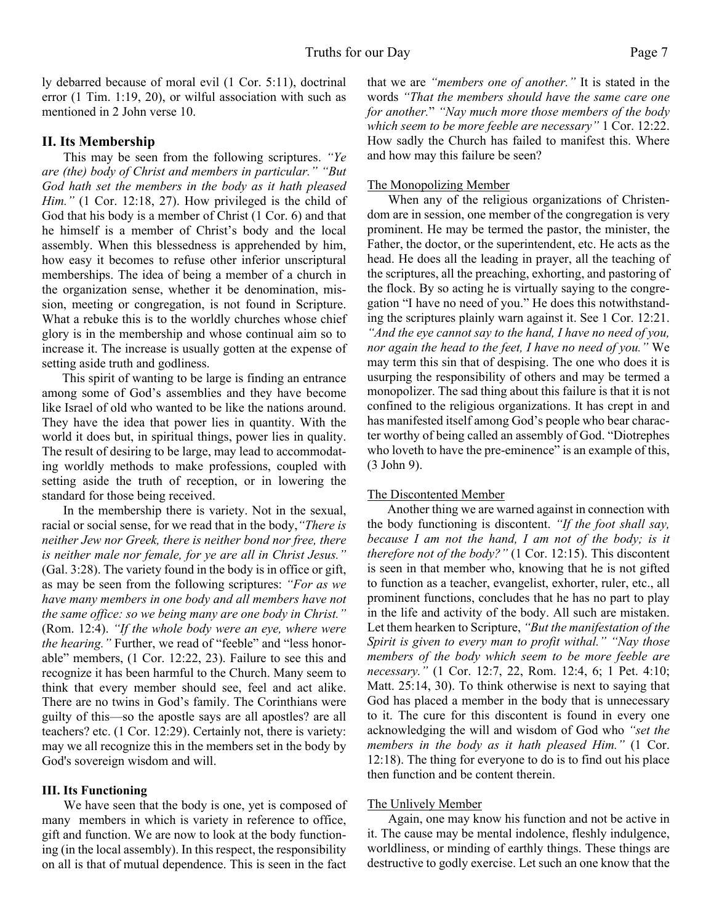ly debarred because of moral evil (1 Cor. 5:11), doctrinal error (1 Tim. 1:19, 20), or wilful association with such as mentioned in 2 John verse 10.

#### **II. Its Membership**

This may be seen from the following scriptures. *"Ye are (the) body of Christ and members in particular." "But God hath set the members in the body as it hath pleased Him.*" (1 Cor. 12:18, 27). How privileged is the child of God that his body is a member of Christ (1 Cor. 6) and that he himself is a member of Christ's body and the local assembly. When this blessedness is apprehended by him, how easy it becomes to refuse other inferior unscriptural memberships. The idea of being a member of a church in the organization sense, whether it be denomination, mission, meeting or congregation, is not found in Scripture. What a rebuke this is to the worldly churches whose chief glory is in the membership and whose continual aim so to increase it. The increase is usually gotten at the expense of setting aside truth and godliness.

This spirit of wanting to be large is finding an entrance among some of God's assemblies and they have become like Israel of old who wanted to be like the nations around. They have the idea that power lies in quantity. With the world it does but, in spiritual things, power lies in quality. The result of desiring to be large, may lead to accommodating worldly methods to make professions, coupled with setting aside the truth of reception, or in lowering the standard for those being received.

In the membership there is variety. Not in the sexual, racial or social sense, for we read that in the body,*"There is neither Jew nor Greek, there is neither bond nor free, there is neither male nor female, for ye are all in Christ Jesus."* (Gal. 3:28). The variety found in the body is in office or gift, as may be seen from the following scriptures: *"For as we have many members in one body and all members have not the same office: so we being many are one body in Christ."* (Rom. 12:4). *"If the whole body were an eye, where were the hearing."* Further, we read of "feeble" and "less honorable" members, (1 Cor. 12:22, 23). Failure to see this and recognize it has been harmful to the Church. Many seem to think that every member should see, feel and act alike. There are no twins in God's family. The Corinthians were guilty of this—so the apostle says are all apostles? are all teachers? etc. (1 Cor. 12:29). Certainly not, there is variety: may we all recognize this in the members set in the body by God's sovereign wisdom and will.

#### **III. Its Functioning**

We have seen that the body is one, yet is composed of many members in which is variety in reference to office, gift and function. We are now to look at the body functioning (in the local assembly). In this respect, the responsibility on all is that of mutual dependence. This is seen in the fact

that we are *"members one of another."* It is stated in the words *"That the members should have the same care one for another.*" *"Nay much more those members of the body which seem to be more feeble are necessary"* 1 Cor. 12:22. How sadly the Church has failed to manifest this. Where and how may this failure be seen?

#### The Monopolizing Member

When any of the religious organizations of Christendom are in session, one member of the congregation is very prominent. He may be termed the pastor, the minister, the Father, the doctor, or the superintendent, etc. He acts as the head. He does all the leading in prayer, all the teaching of the scriptures, all the preaching, exhorting, and pastoring of the flock. By so acting he is virtually saying to the congregation "I have no need of you." He does this notwithstanding the scriptures plainly warn against it. See 1 Cor. 12:21. *"And the eye cannot say to the hand, I have no need of you, nor again the head to the feet, I have no need of you."* We may term this sin that of despising. The one who does it is usurping the responsibility of others and may be termed a monopolizer. The sad thing about this failure is that it is not confined to the religious organizations. It has crept in and has manifested itself among God's people who bear character worthy of being called an assembly of God. "Diotrephes who loveth to have the pre-eminence" is an example of this, (3 John 9).

#### The Discontented Member

Another thing we are warned against in connection with the body functioning is discontent. *"If the foot shall say, because I am not the hand, I am not of the body; is it therefore not of the body?"* (1 Cor. 12:15). This discontent is seen in that member who, knowing that he is not gifted to function as a teacher, evangelist, exhorter, ruler, etc., all prominent functions, concludes that he has no part to play in the life and activity of the body. All such are mistaken. Let them hearken to Scripture, *"But the manifestation of the Spirit is given to every man to profit withal." "Nay those members of the body which seem to be more feeble are necessary."* (1 Cor. 12:7, 22, Rom. 12:4, 6; 1 Pet. 4:10; Matt. 25:14, 30). To think otherwise is next to saying that God has placed a member in the body that is unnecessary to it. The cure for this discontent is found in every one acknowledging the will and wisdom of God who *"set the members in the body as it hath pleased Him."* (1 Cor. 12:18). The thing for everyone to do is to find out his place then function and be content therein.

#### The Unlively Member

Again, one may know his function and not be active in it. The cause may be mental indolence, fleshly indulgence, worldliness, or minding of earthly things. These things are destructive to godly exercise. Let such an one know that the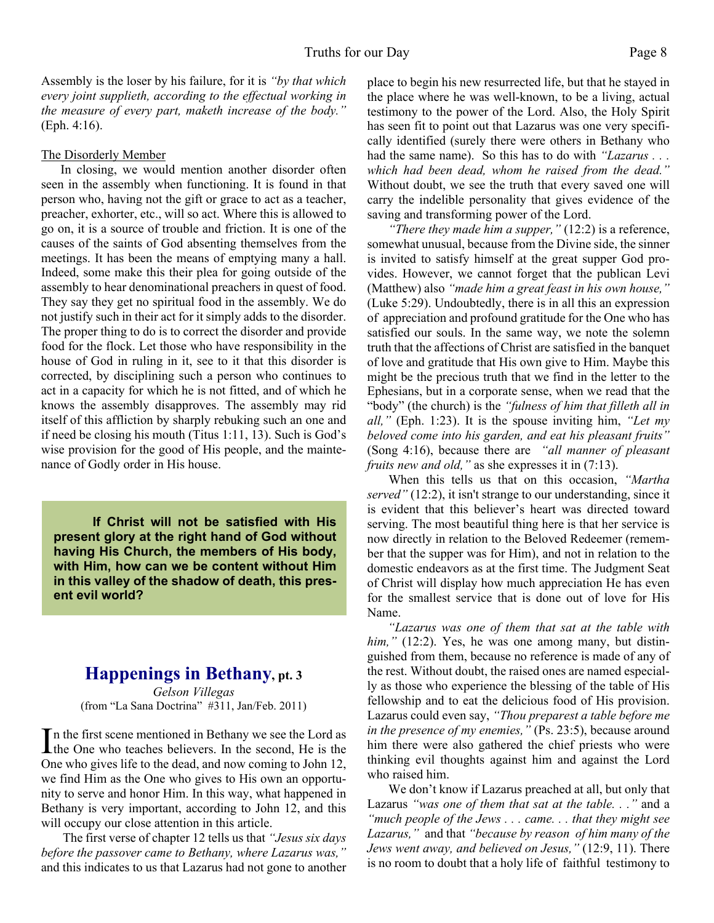Assembly is the loser by his failure, for it is *"by that which every joint supplieth, according to the effectual working in the measure of every part, maketh increase of the body."* (Eph. 4:16).

#### The Disorderly Member

In closing, we would mention another disorder often seen in the assembly when functioning. It is found in that person who, having not the gift or grace to act as a teacher, preacher, exhorter, etc., will so act. Where this is allowed to go on, it is a source of trouble and friction. It is one of the causes of the saints of God absenting themselves from the meetings. It has been the means of emptying many a hall. Indeed, some make this their plea for going outside of the assembly to hear denominational preachers in quest of food. They say they get no spiritual food in the assembly. We do not justify such in their act for it simply adds to the disorder. The proper thing to do is to correct the disorder and provide food for the flock. Let those who have responsibility in the house of God in ruling in it, see to it that this disorder is corrected, by disciplining such a person who continues to act in a capacity for which he is not fitted, and of which he knows the assembly disapproves. The assembly may rid itself of this affliction by sharply rebuking such an one and if need be closing his mouth (Titus 1:11, 13). Such is God's wise provision for the good of His people, and the maintenance of Godly order in His house.

 **If Christ will not be satisfied with His present glory at the right hand of God without having His Church, the members of His body, with Him, how can we be content without Him in this valley of the shadow of death, this present evil world?**

## **Happenings in Bethany, pt. 3**

*Gelson Villegas* (from "La Sana Doctrina" #311, Jan/Feb. 2011)

In the first scene mentioned in Bethany we see the Lord as<br>the One who teaches believers. In the second, He is the n the first scene mentioned in Bethany we see the Lord as One who gives life to the dead, and now coming to John 12, we find Him as the One who gives to His own an opportunity to serve and honor Him. In this way, what happened in Bethany is very important, according to John 12, and this will occupy our close attention in this article.

The first verse of chapter 12 tells us that *"Jesus six days before the passover came to Bethany, where Lazarus was,"* and this indicates to us that Lazarus had not gone to another place to begin his new resurrected life, but that he stayed in the place where he was well-known, to be a living, actual testimony to the power of the Lord. Also, the Holy Spirit has seen fit to point out that Lazarus was one very specifically identified (surely there were others in Bethany who had the same name). So this has to do with *"Lazarus . . . which had been dead, whom he raised from the dead."* Without doubt, we see the truth that every saved one will carry the indelible personality that gives evidence of the saving and transforming power of the Lord.

*"There they made him a supper,"* (12:2) is a reference, somewhat unusual, because from the Divine side, the sinner is invited to satisfy himself at the great supper God provides. However, we cannot forget that the publican Levi (Matthew) also *"made him a great feast in his own house,"* (Luke 5:29). Undoubtedly, there is in all this an expression of appreciation and profound gratitude for the One who has satisfied our souls. In the same way, we note the solemn truth that the affections of Christ are satisfied in the banquet of love and gratitude that His own give to Him. Maybe this might be the precious truth that we find in the letter to the Ephesians, but in a corporate sense, when we read that the "body" (the church) is the *"fulness of him that filleth all in all,"* (Eph. 1:23). It is the spouse inviting him, *"Let my beloved come into his garden, and eat his pleasant fruits"* (Song 4:16), because there are *"all manner of pleasant fruits new and old,"* as she expresses it in (7:13).

When this tells us that on this occasion, *"Martha served"* (12:2), it isn't strange to our understanding, since it is evident that this believer's heart was directed toward serving. The most beautiful thing here is that her service is now directly in relation to the Beloved Redeemer (remember that the supper was for Him), and not in relation to the domestic endeavors as at the first time. The Judgment Seat of Christ will display how much appreciation He has even for the smallest service that is done out of love for His Name.

*"Lazarus was one of them that sat at the table with him,"* (12:2). Yes, he was one among many, but distinguished from them, because no reference is made of any of the rest. Without doubt, the raised ones are named especially as those who experience the blessing of the table of His fellowship and to eat the delicious food of His provision. Lazarus could even say, *"Thou preparest a table before me in the presence of my enemies,"* (Ps. 23:5), because around him there were also gathered the chief priests who were thinking evil thoughts against him and against the Lord who raised him.

We don't know if Lazarus preached at all, but only that Lazarus *"was one of them that sat at the table. . ."* and a *"much people of the Jews . . . came. . . that they might see Lazarus,"* and that *"because by reason of him many of the Jews went away, and believed on Jesus,"* (12:9, 11). There is no room to doubt that a holy life of faithful testimony to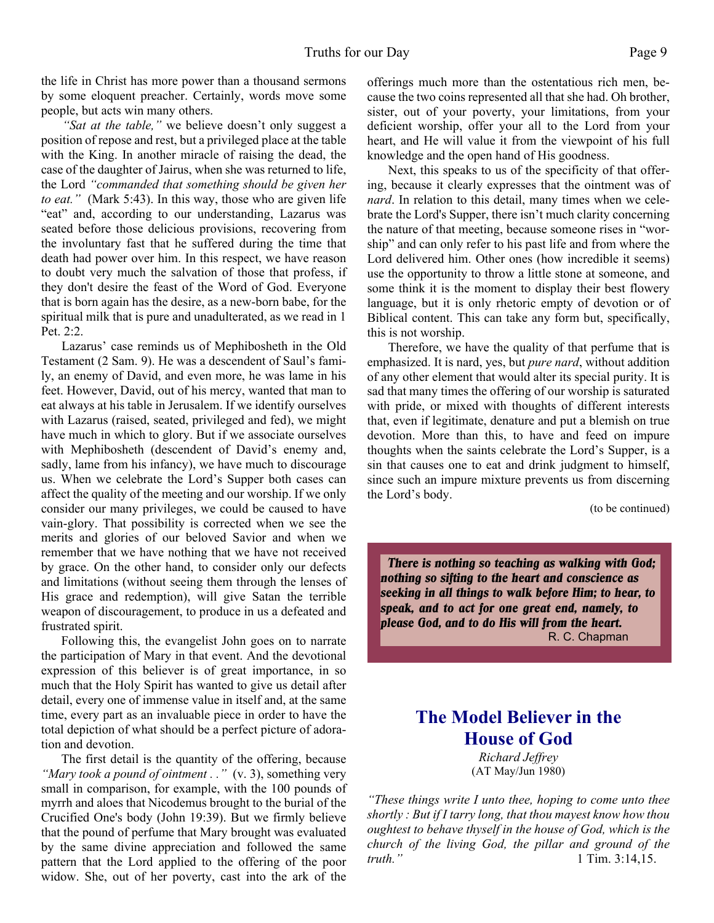the life in Christ has more power than a thousand sermons by some eloquent preacher. Certainly, words move some people, but acts win many others.

*"Sat at the table,"* we believe doesn't only suggest a position of repose and rest, but a privileged place at the table with the King. In another miracle of raising the dead, the case of the daughter of Jairus, when she was returned to life, the Lord *"commanded that something should be given her to eat."* (Mark 5:43). In this way, those who are given life "eat" and, according to our understanding, Lazarus was seated before those delicious provisions, recovering from the involuntary fast that he suffered during the time that death had power over him. In this respect, we have reason to doubt very much the salvation of those that profess, if they don't desire the feast of the Word of God. Everyone that is born again has the desire, as a new-born babe, for the spiritual milk that is pure and unadulterated, as we read in 1 Pet. 2:2.

Lazarus' case reminds us of Mephibosheth in the Old Testament (2 Sam. 9). He was a descendent of Saul's family, an enemy of David, and even more, he was lame in his feet. However, David, out of his mercy, wanted that man to eat always at his table in Jerusalem. If we identify ourselves with Lazarus (raised, seated, privileged and fed), we might have much in which to glory. But if we associate ourselves with Mephibosheth (descendent of David's enemy and, sadly, lame from his infancy), we have much to discourage us. When we celebrate the Lord's Supper both cases can affect the quality of the meeting and our worship. If we only consider our many privileges, we could be caused to have vain-glory. That possibility is corrected when we see the merits and glories of our beloved Savior and when we remember that we have nothing that we have not received by grace. On the other hand, to consider only our defects and limitations (without seeing them through the lenses of His grace and redemption), will give Satan the terrible weapon of discouragement, to produce in us a defeated and frustrated spirit.

Following this, the evangelist John goes on to narrate the participation of Mary in that event. And the devotional expression of this believer is of great importance, in so much that the Holy Spirit has wanted to give us detail after detail, every one of immense value in itself and, at the same time, every part as an invaluable piece in order to have the total depiction of what should be a perfect picture of adoration and devotion.

The first detail is the quantity of the offering, because *"Mary took a pound of ointment . ."* (v. 3), something very small in comparison, for example, with the 100 pounds of myrrh and aloes that Nicodemus brought to the burial of the Crucified One's body (John 19:39). But we firmly believe that the pound of perfume that Mary brought was evaluated by the same divine appreciation and followed the same pattern that the Lord applied to the offering of the poor widow. She, out of her poverty, cast into the ark of the

offerings much more than the ostentatious rich men, because the two coins represented all that she had. Oh brother, sister, out of your poverty, your limitations, from your deficient worship, offer your all to the Lord from your heart, and He will value it from the viewpoint of his full knowledge and the open hand of His goodness.

Next, this speaks to us of the specificity of that offering, because it clearly expresses that the ointment was of *nard*. In relation to this detail, many times when we celebrate the Lord's Supper, there isn't much clarity concerning the nature of that meeting, because someone rises in "worship" and can only refer to his past life and from where the Lord delivered him. Other ones (how incredible it seems) use the opportunity to throw a little stone at someone, and some think it is the moment to display their best flowery language, but it is only rhetoric empty of devotion or of Biblical content. This can take any form but, specifically, this is not worship.

Therefore, we have the quality of that perfume that is emphasized. It is nard, yes, but *pure nard*, without addition of any other element that would alter its special purity. It is sad that many times the offering of our worship is saturated with pride, or mixed with thoughts of different interests that, even if legitimate, denature and put a blemish on true devotion. More than this, to have and feed on impure thoughts when the saints celebrate the Lord's Supper, is a sin that causes one to eat and drink judgment to himself, since such an impure mixture prevents us from discerning the Lord's body.

(to be continued)

*There is nothing so teaching as walking with God; nothing so sifting to the heart and conscience as seeking in all things to walk before Him; to hear, to speak, and to act for one great end, namely, to please God, and to do His will from the heart.* R. C. Chapman

## **The Model Believer in the House of God**

*Richard Jeffrey* (AT May/Jun 1980)

*"These things write I unto thee, hoping to come unto thee shortly : But if I tarry long, that thou mayest know how thou oughtest to behave thyself in the house of God, which is the church of the living God, the pillar and ground of the truth.*" 1 Tim. 3:14,15.